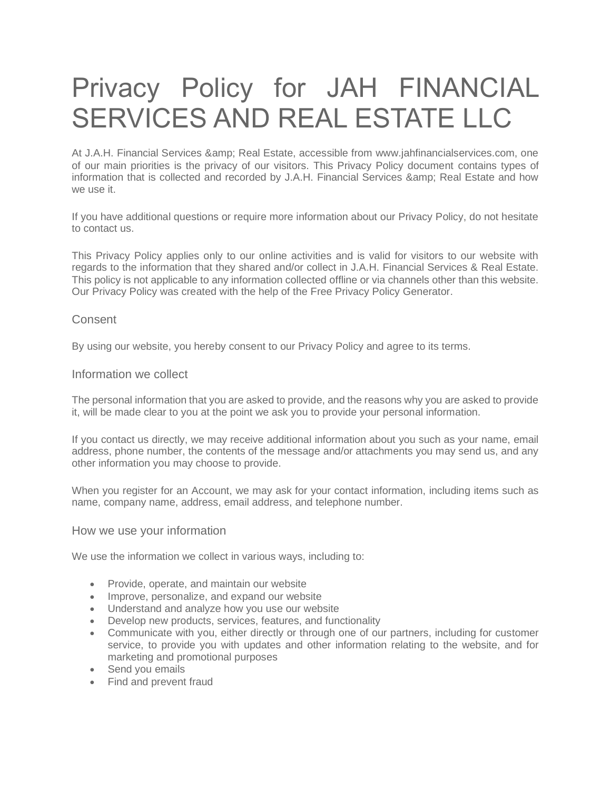# Privacy Policy for JAH FINANCIAL SERVICES AND REAL ESTATE LLC

At J.A.H. Financial Services & amp; Real Estate, accessible from www.jahfinancialservices.com, one of our main priorities is the privacy of our visitors. This Privacy Policy document contains types of information that is collected and recorded by J.A.H. Financial Services & amp; Real Estate and how we use it.

If you have additional questions or require more information about our Privacy Policy, do not hesitate to contact us.

This Privacy Policy applies only to our online activities and is valid for visitors to our website with regards to the information that they shared and/or collect in J.A.H. Financial Services & Real Estate. This policy is not applicable to any information collected offline or via channels other than this website. Our Privacy Policy was created with the help of the [Free Privacy Policy Generator.](https://www.privacypolicygenerator.info/)

# **Consent**

By using our website, you hereby consent to our Privacy Policy and agree to its terms.

#### Information we collect

The personal information that you are asked to provide, and the reasons why you are asked to provide it, will be made clear to you at the point we ask you to provide your personal information.

If you contact us directly, we may receive additional information about you such as your name, email address, phone number, the contents of the message and/or attachments you may send us, and any other information you may choose to provide.

When you register for an Account, we may ask for your contact information, including items such as name, company name, address, email address, and telephone number.

#### How we use your information

We use the information we collect in various ways, including to:

- Provide, operate, and maintain our website
- Improve, personalize, and expand our website
- Understand and analyze how you use our website
- Develop new products, services, features, and functionality
- Communicate with you, either directly or through one of our partners, including for customer service, to provide you with updates and other information relating to the website, and for marketing and promotional purposes
- Send you emails
- Find and prevent fraud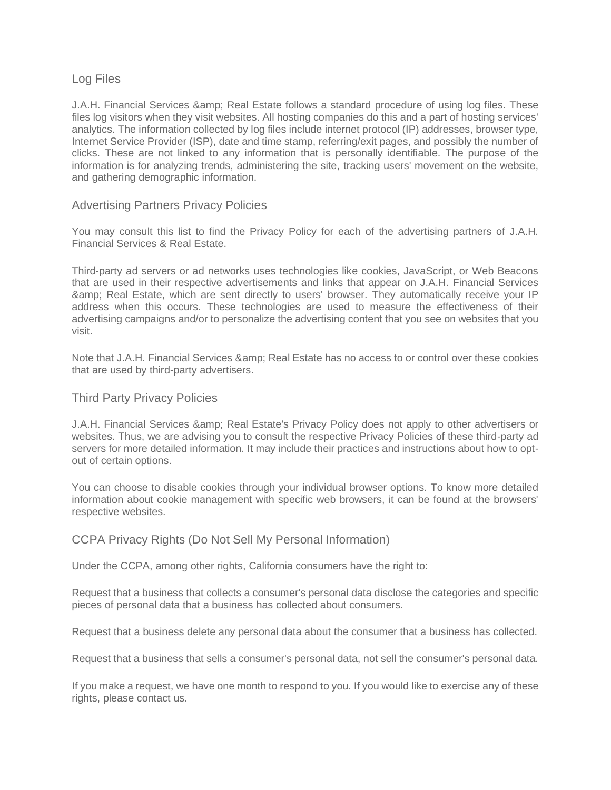# Log Files

J.A.H. Financial Services & amp: Real Estate follows a standard procedure of using log files. These files log visitors when they visit websites. All hosting companies do this and a part of hosting services' analytics. The information collected by log files include internet protocol (IP) addresses, browser type, Internet Service Provider (ISP), date and time stamp, referring/exit pages, and possibly the number of clicks. These are not linked to any information that is personally identifiable. The purpose of the information is for analyzing trends, administering the site, tracking users' movement on the website, and gathering demographic information.

# Advertising Partners Privacy Policies

You may consult this list to find the Privacy Policy for each of the advertising partners of J.A.H. Financial Services & Real Estate.

Third-party ad servers or ad networks uses technologies like cookies, JavaScript, or Web Beacons that are used in their respective advertisements and links that appear on J.A.H. Financial Services & Real Estate, which are sent directly to users' browser. They automatically receive your IP address when this occurs. These technologies are used to measure the effectiveness of their advertising campaigns and/or to personalize the advertising content that you see on websites that you visit.

Note that J.A.H. Financial Services & amp; Real Estate has no access to or control over these cookies that are used by third-party advertisers.

## Third Party Privacy Policies

J.A.H. Financial Services & amp; Real Estate's Privacy Policy does not apply to other advertisers or websites. Thus, we are advising you to consult the respective Privacy Policies of these third-party ad servers for more detailed information. It may include their practices and instructions about how to optout of certain options.

You can choose to disable cookies through your individual browser options. To know more detailed information about cookie management with specific web browsers, it can be found at the browsers' respective websites.

#### CCPA Privacy Rights (Do Not Sell My Personal Information)

Under the CCPA, among other rights, California consumers have the right to:

Request that a business that collects a consumer's personal data disclose the categories and specific pieces of personal data that a business has collected about consumers.

Request that a business delete any personal data about the consumer that a business has collected.

Request that a business that sells a consumer's personal data, not sell the consumer's personal data.

If you make a request, we have one month to respond to you. If you would like to exercise any of these rights, please contact us.